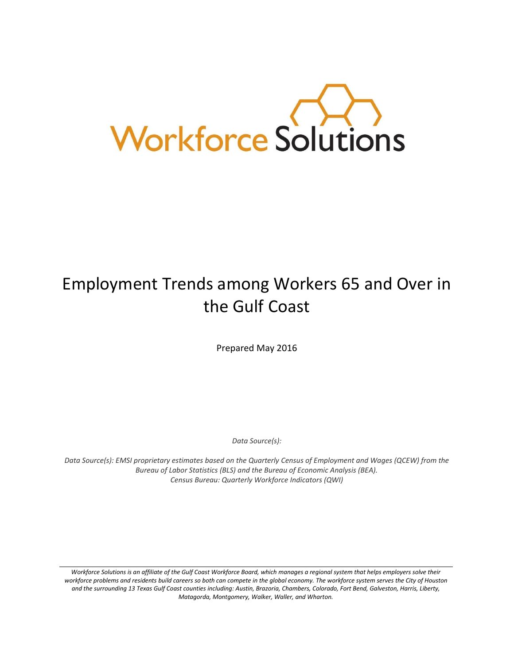

# Employment Trends among Workers 65 and Over in the Gulf Coast

Prepared May 2016

*Data Source(s):* 

*Data Source(s): EMSI proprietary estimates based on the Quarterly Census of Employment and Wages (QCEW) from the Bureau of Labor Statistics (BLS) and the Bureau of Economic Analysis (BEA). Census Bureau: Quarterly Workforce Indicators (QWI)*

Workforce Solutions is an affiliate of the Gulf Coast Workforce Board, which manages a regional system that helps employers solve their *workforce problems and residents build careers so both can compete in the global economy. The workforce system serves the City of Houston and the surrounding 13 Texas Gulf Coast counties including: Austin, Brazoria, Chambers, Colorado, Fort Bend, Galveston, Harris, Liberty, Matagorda, Montgomery, Walker, Waller, and Wharton.*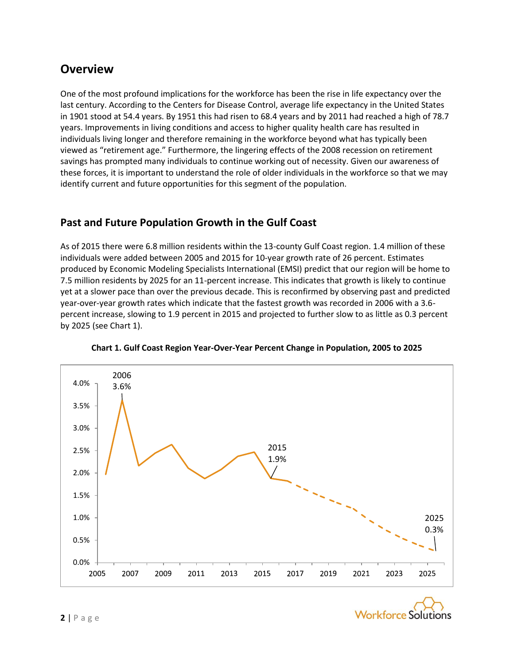## **Overview**

One of the most profound implications for the workforce has been the rise in life expectancy over the last century. According to the Centers for Disease Control, average life expectancy in the United States in 1901 stood at 54.4 years. By 1951 this had risen to 68.4 years and by 2011 had reached a high of 78.7 years. Improvements in living conditions and access to higher quality health care has resulted in individuals living longer and therefore remaining in the workforce beyond what has typically been viewed as "retirement age." Furthermore, the lingering effects of the 2008 recession on retirement savings has prompted many individuals to continue working out of necessity. Given our awareness of these forces, it is important to understand the role of older individuals in the workforce so that we may identify current and future opportunities for this segment of the population.

## **Past and Future Population Growth in the Gulf Coast**

As of 2015 there were 6.8 million residents within the 13-county Gulf Coast region. 1.4 million of these individuals were added between 2005 and 2015 for 10-year growth rate of 26 percent. Estimates produced by Economic Modeling Specialists International (EMSI) predict that our region will be home to 7.5 million residents by 2025 for an 11-percent increase. This indicates that growth is likely to continue yet at a slower pace than over the previous decade. This is reconfirmed by observing past and predicted year-over-year growth rates which indicate that the fastest growth was recorded in 2006 with a 3.6 percent increase, slowing to 1.9 percent in 2015 and projected to further slow to as little as 0.3 percent by 2025 (see Chart 1).



**Chart 1. Gulf Coast Region Year-Over-Year Percent Change in Population, 2005 to 2025**

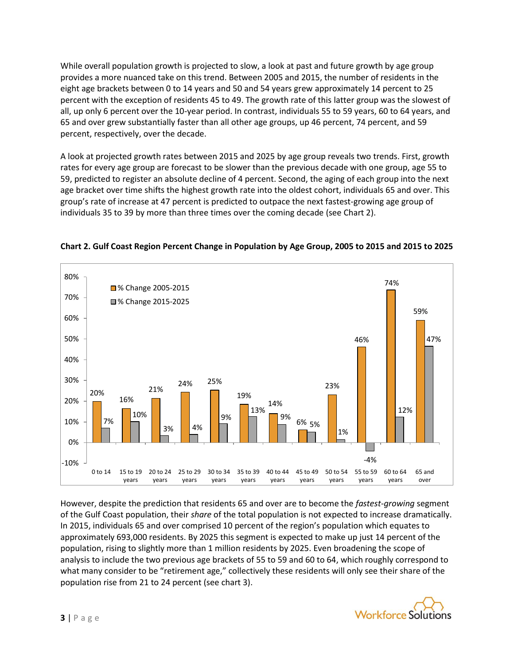While overall population growth is projected to slow, a look at past and future growth by age group provides a more nuanced take on this trend. Between 2005 and 2015, the number of residents in the eight age brackets between 0 to 14 years and 50 and 54 years grew approximately 14 percent to 25 percent with the exception of residents 45 to 49. The growth rate of this latter group was the slowest of all, up only 6 percent over the 10-year period. In contrast, individuals 55 to 59 years, 60 to 64 years, and 65 and over grew substantially faster than all other age groups, up 46 percent, 74 percent, and 59 percent, respectively, over the decade.

A look at projected growth rates between 2015 and 2025 by age group reveals two trends. First, growth rates for every age group are forecast to be slower than the previous decade with one group, age 55 to 59, predicted to register an absolute decline of 4 percent. Second, the aging of each group into the next age bracket over time shifts the highest growth rate into the oldest cohort, individuals 65 and over. This group's rate of increase at 47 percent is predicted to outpace the next fastest-growing age group of individuals 35 to 39 by more than three times over the coming decade (see Chart 2).



#### **Chart 2. Gulf Coast Region Percent Change in Population by Age Group, 2005 to 2015 and 2015 to 2025**

However, despite the prediction that residents 65 and over are to become the *fastest-growing* segment of the Gulf Coast population, their *share* of the total population is not expected to increase dramatically. In 2015, individuals 65 and over comprised 10 percent of the region's population which equates to approximately 693,000 residents. By 2025 this segment is expected to make up just 14 percent of the population, rising to slightly more than 1 million residents by 2025. Even broadening the scope of analysis to include the two previous age brackets of 55 to 59 and 60 to 64, which roughly correspond to what many consider to be "retirement age," collectively these residents will only see their share of the population rise from 21 to 24 percent (see chart 3).

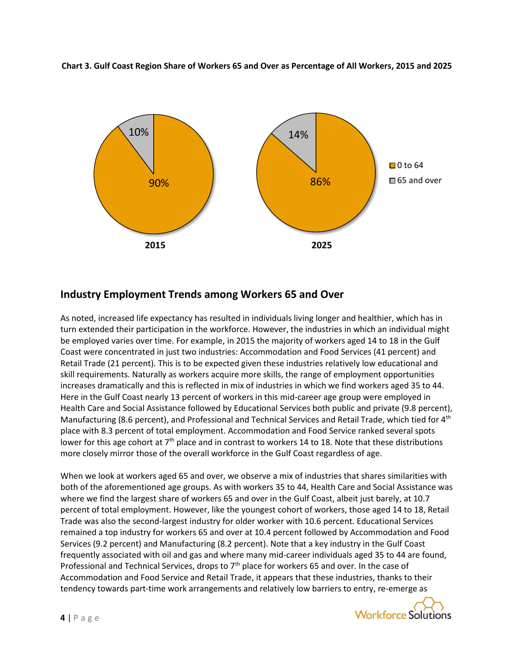



#### **Industry Employment Trends among Workers 65 and Over**

As noted, increased life expectancy has resulted in individuals living longer and healthier, which has in turn extended their participation in the workforce. However, the industries in which an individual might be employed varies over time. For example, in 2015 the majority of workers aged 14 to 18 in the Gulf Coast were concentrated in just two industries: Accommodation and Food Services (41 percent) and Retail Trade (21 percent). This is to be expected given these industries relatively low educational and skill requirements. Naturally as workers acquire more skills, the range of employment opportunities increases dramatically and this is reflected in mix of industries in which we find workers aged 35 to 44. Here in the Gulf Coast nearly 13 percent of workers in this mid-career age group were employed in Health Care and Social Assistance followed by Educational Services both public and private (9.8 percent), Manufacturing (8.6 percent), and Professional and Technical Services and Retail Trade, which tied for 4<sup>th</sup> place with 8.3 percent of total employment. Accommodation and Food Service ranked several spots lower for this age cohort at  $7<sup>th</sup>$  place and in contrast to workers 14 to 18. Note that these distributions more closely mirror those of the overall workforce in the Gulf Coast regardless of age.

When we look at workers aged 65 and over, we observe a mix of industries that shares similarities with both of the aforementioned age groups. As with workers 35 to 44, Health Care and Social Assistance was where we find the largest share of workers 65 and over in the Gulf Coast, albeit just barely, at 10.7 percent of total employment. However, like the youngest cohort of workers, those aged 14 to 18, Retail Trade was also the second-largest industry for older worker with 10.6 percent. Educational Services remained a top industry for workers 65 and over at 10.4 percent followed by Accommodation and Food Services (9.2 percent) and Manufacturing (8.2 percent). Note that a key industry in the Gulf Coast frequently associated with oil and gas and where many mid-career individuals aged 35 to 44 are found, Professional and Technical Services, drops to 7<sup>th</sup> place for workers 65 and over. In the case of Accommodation and Food Service and Retail Trade, it appears that these industries, thanks to their tendency towards part-time work arrangements and relatively low barriers to entry, re-emerge as

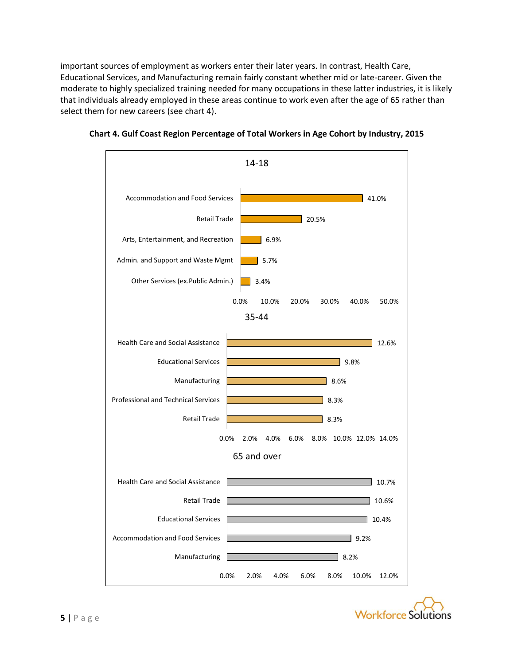important sources of employment as workers enter their later years. In contrast, Health Care, Educational Services, and Manufacturing remain fairly constant whether mid or late-career. Given the moderate to highly specialized training needed for many occupations in these latter industries, it is likely that individuals already employed in these areas continue to work even after the age of 65 rather than select them for new careers (see chart 4).





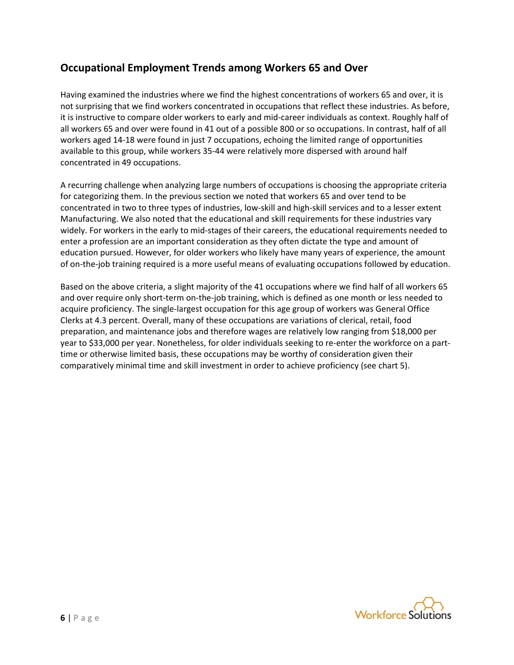## **Occupational Employment Trends among Workers 65 and Over**

Having examined the industries where we find the highest concentrations of workers 65 and over, it is not surprising that we find workers concentrated in occupations that reflect these industries. As before, it is instructive to compare older workers to early and mid-career individuals as context. Roughly half of all workers 65 and over were found in 41 out of a possible 800 or so occupations. In contrast, half of all workers aged 14-18 were found in just 7 occupations, echoing the limited range of opportunities available to this group, while workers 35-44 were relatively more dispersed with around half concentrated in 49 occupations.

A recurring challenge when analyzing large numbers of occupations is choosing the appropriate criteria for categorizing them. In the previous section we noted that workers 65 and over tend to be concentrated in two to three types of industries, low-skill and high-skill services and to a lesser extent Manufacturing. We also noted that the educational and skill requirements for these industries vary widely. For workers in the early to mid-stages of their careers, the educational requirements needed to enter a profession are an important consideration as they often dictate the type and amount of education pursued. However, for older workers who likely have many years of experience, the amount of on-the-job training required is a more useful means of evaluating occupations followed by education.

Based on the above criteria, a slight majority of the 41 occupations where we find half of all workers 65 and over require only short-term on-the-job training, which is defined as one month or less needed to acquire proficiency. The single-largest occupation for this age group of workers was General Office Clerks at 4.3 percent. Overall, many of these occupations are variations of clerical, retail, food preparation, and maintenance jobs and therefore wages are relatively low ranging from \$18,000 per year to \$33,000 per year. Nonetheless, for older individuals seeking to re-enter the workforce on a parttime or otherwise limited basis, these occupations may be worthy of consideration given their comparatively minimal time and skill investment in order to achieve proficiency (see chart 5).

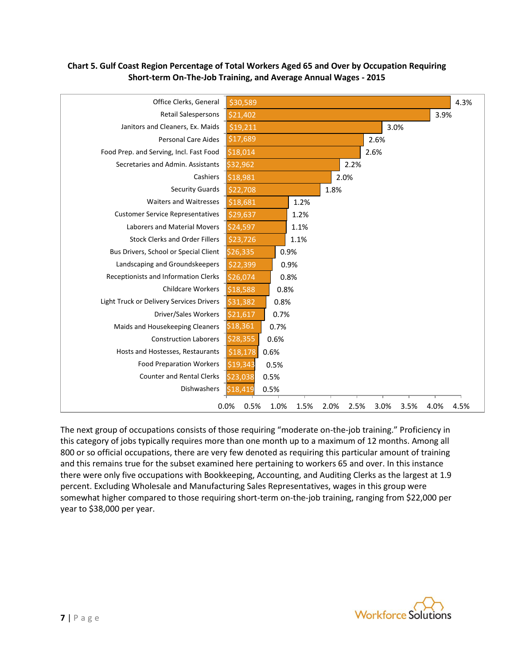



The next group of occupations consists of those requiring "moderate on-the-job training." Proficiency in this category of jobs typically requires more than one month up to a maximum of 12 months. Among all 800 or so official occupations, there are very few denoted as requiring this particular amount of training and this remains true for the subset examined here pertaining to workers 65 and over. In this instance there were only five occupations with Bookkeeping, Accounting, and Auditing Clerks as the largest at 1.9 percent. Excluding Wholesale and Manufacturing Sales Representatives, wages in this group were somewhat higher compared to those requiring short-term on-the-job training, ranging from \$22,000 per year to \$38,000 per year.

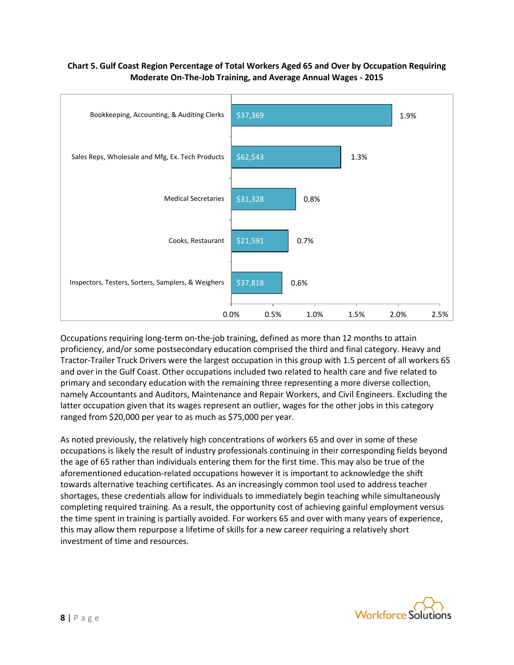#### **Chart 5. Gulf Coast Region Percentage of Total Workers Aged 65 and Over by Occupation Requiring Moderate On-The-Job Training, and Average Annual Wages - 2015**



Occupations requiring long-term on-the-job training, defined as more than 12 months to attain proficiency, and/or some postsecondary education comprised the third and final category. Heavy and Tractor-Trailer Truck Drivers were the largest occupation in this group with 1.5 percent of all workers 65 and over in the Gulf Coast. Other occupations included two related to health care and five related to primary and secondary education with the remaining three representing a more diverse collection, namely Accountants and Auditors, Maintenance and Repair Workers, and Civil Engineers. Excluding the latter occupation given that its wages represent an outlier, wages for the other jobs in this category ranged from \$20,000 per year to as much as \$75,000 per year.

As noted previously, the relatively high concentrations of workers 65 and over in some of these occupations is likely the result of industry professionals continuing in their corresponding fields beyond the age of 65 rather than individuals entering them for the first time. This may also be true of the aforementioned education-related occupations however it is important to acknowledge the shift towards alternative teaching certificates. As an increasingly common tool used to address teacher shortages, these credentials allow for individuals to immediately begin teaching while simultaneously completing required training. As a result, the opportunity cost of achieving gainful employment versus the time spent in training is partially avoided. For workers 65 and over with many years of experience, this may allow them repurpose a lifetime of skills for a new career requiring a relatively short investment of time and resources.